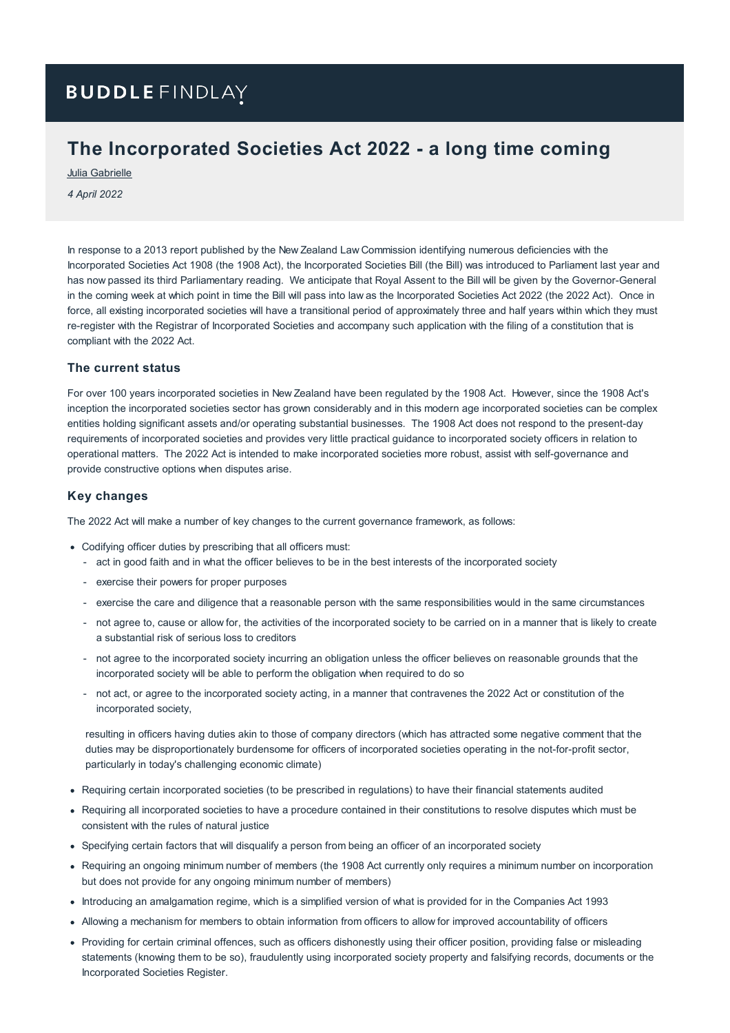# **BUDDLE FINDLAY**

## **The Incorporated Societies Act 2022 - a long time coming**

Julia [Gabrielle](https://www.buddlefindlay.com/people/julia-gabrielle/)

*4 April 2022*

In response to a 2013 report published by the New Zealand Law Commission identifying numerous deficiencies with the Incorporated Societies Act 1908 (the 1908 Act), the Incorporated Societies Bill (the Bill) was introduced to Parliament last year and has now passed its third Parliamentary reading. We anticipate that Royal Assent to the Bill will be given by the Governor-General in the coming week at which point in time the Bill will pass into law as the Incorporated Societies Act 2022 (the 2022 Act). Once in force, all existing incorporated societies will have a transitional period of approximately three and half years within which they must re-register with the Registrar of Incorporated Societies and accompany such application with the filing of a constitution that is compliant with the 2022 Act.

#### **The current status**

For over 100 years incorporated societies in New Zealand have been regulated by the 1908 Act. However, since the 1908 Act's inception the incorporated societies sector has grown considerably and in this modern age incorporated societies can be complex entities holding significant assets and/or operating substantial businesses. The 1908 Act does not respond to the present-day requirements of incorporated societies and provides very little practical guidance to incorporated society officers in relation to operational matters. The 2022 Act is intended to make incorporated societies more robust, assist with self-governance and provide constructive options when disputes arise.

#### **Key changes**

The 2022 Act will make a number of key changes to the current governance framework, as follows:

- Codifying officer duties by prescribing that all officers must:
	- act in good faith and in what the officer believes to be in the best interests of the incorporated society
	- exercise their powers for proper purposes
	- exercise the care and diligence that a reasonable person with the same responsibilities would in the same circumstances
	- not agree to, cause or allow for, the activities of the incorporated society to be carried on in a manner that is likely to create a substantial risk of serious loss to creditors
	- not agree to the incorporated society incurring an obligation unless the officer believes on reasonable grounds that the incorporated society will be able to perform the obligation when required to do so
	- not act, or agree to the incorporated society acting, in a manner that contravenes the 2022 Act or constitution of the incorporated society,

resulting in officers having duties akin to those of company directors (which has attracted some negative comment that the duties may be disproportionately burdensome for officers of incorporated societies operating in the not-for-profit sector, particularly in today's challenging economic climate)

- Requiring certain incorporated societies (to be prescribed in regulations) to have their financial statements audited
- Requiring all incorporated societies to have a procedure contained in their constitutions to resolve disputes which must be consistent with the rules of natural justice
- Specifying certain factors that will disqualify a person from being an officer of an incorporated society
- Requiring an ongoing minimum number of members (the 1908 Act currently only requires a minimum number on incorporation but does not provide for any ongoing minimum number of members)
- Introducing an amalgamation regime, which is a simplified version of what is provided for in the Companies Act 1993
- Allowing a mechanism for members to obtain information from officers to allow for improved accountability of officers
- Providing for certain criminal offences, such as officers dishonestly using their officer position, providing false or misleading statements (knowing them to be so), fraudulently using incorporated society property and falsifying records, documents or the Incorporated Societies Register.